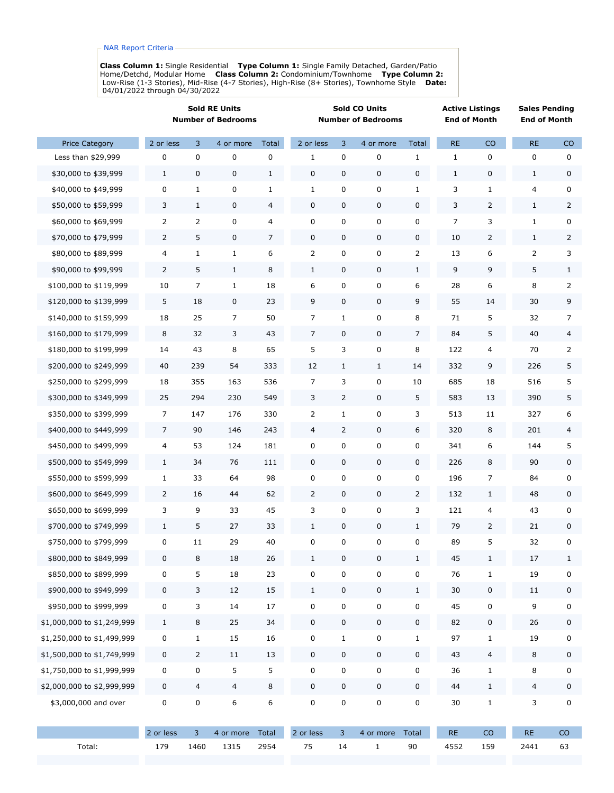**Class Column 1:** Single Residential  **Type Column 1:** Single Family Detached, Garden/Patio Home/Detchd, Modular Home  **Class Column 2:** Condominium/Townhome  **Type Column 2:** Low-Rise (1-3 Stories), Mid-Rise (4-7 Stories), High-Rise (8+ Stories), Townhome Style  **Date:** 04/01/2022 through 04/30/2022

|                            | <b>Sold RE Units</b><br><b>Number of Bedrooms</b> |                |                | <b>Sold CO Units</b><br><b>Number of Bedrooms</b> |                         |                         |              | <b>Active Listings</b><br><b>End of Month</b> |               | <b>Sales Pending</b><br><b>End of Month</b> |                |                |
|----------------------------|---------------------------------------------------|----------------|----------------|---------------------------------------------------|-------------------------|-------------------------|--------------|-----------------------------------------------|---------------|---------------------------------------------|----------------|----------------|
| <b>Price Category</b>      | 2 or less                                         | 3              | 4 or more      | <b>Total</b>                                      | 2 or less               | 3                       | 4 or more    | Total                                         | <b>RE</b>     | CO                                          | RE             | CO             |
| Less than \$29,999         | $\pmb{0}$                                         | 0              | 0              | 0                                                 | 1                       | 0                       | $\pmb{0}$    | 1                                             | $\mathbf{1}$  | 0                                           | $\mathbf 0$    | $\pmb{0}$      |
| \$30,000 to \$39,999       | $\mathbf{1}$                                      | 0              | 0              | $\mathbf{1}$                                      | 0                       | 0                       | 0            | 0                                             | $\mathbf{1}$  | 0                                           | $\mathbf{1}$   | 0              |
| \$40,000 to \$49,999       | $\pmb{0}$                                         | $\mathbf{1}$   | 0              | 1                                                 | $1\,$                   | 0                       | 0            | 1                                             | 3             | 1                                           | $\overline{4}$ | 0              |
| \$50,000 to \$59,999       | 3                                                 | $\mathbf{1}$   | 0              | 4                                                 | $\boldsymbol{0}$        | 0                       | $\mathbf 0$  | 0                                             | 3             | 2                                           | $\mathbf{1}$   | $\overline{2}$ |
| \$60,000 to \$69,999       | 2                                                 | 2              | 0              | 4                                                 | 0                       | 0                       | 0            | 0                                             | 7             | 3                                           | $\mathbf{1}$   | 0              |
| \$70,000 to \$79,999       | 2                                                 | 5              | 0              | 7                                                 | $\pmb{0}$               | 0                       | 0            | 0                                             | 10            | 2                                           | $\mathbf{1}$   | $\overline{2}$ |
| \$80,000 to \$89,999       | 4                                                 | $\mathbf{1}$   | $\mathbf{1}$   | 6                                                 | $\overline{2}$          | 0                       | 0            | $\overline{2}$                                | 13            | 6                                           | $\overline{2}$ | 3              |
| \$90,000 to \$99,999       | $\overline{2}$                                    | 5              | $\mathbf{1}$   | 8                                                 | $\mathbf{1}$            | 0                       | 0            | $\mathbf{1}$                                  | 9             | 9                                           | 5              | $\mathbf{1}$   |
| \$100,000 to \$119,999     | 10                                                | 7              | $\mathbf{1}$   | 18                                                | 6                       | 0                       | 0            | 6                                             | 28            | 6                                           | 8              | $\overline{2}$ |
| \$120,000 to \$139,999     | 5                                                 | 18             | 0              | 23                                                | 9                       | 0                       | $\mathbf 0$  | 9                                             | 55            | 14                                          | 30             | 9              |
| \$140,000 to \$159,999     | 18                                                | 25             | 7              | 50                                                | $\overline{7}$          | $1\,$                   | 0            | 8                                             | 71            | 5                                           | 32             | 7              |
| \$160,000 to \$179,999     | 8                                                 | 32             | 3              | 43                                                | $\overline{7}$          | 0                       | $\mathbf 0$  | 7                                             | 84            | 5                                           | 40             | $\overline{4}$ |
| \$180,000 to \$199,999     | 14                                                | 43             | 8              | 65                                                | 5                       | 3                       | 0            | 8                                             | 122           | 4                                           | 70             | $\overline{2}$ |
| \$200,000 to \$249,999     | 40                                                | 239            | 54             | 333                                               | 12                      | $\mathbf{1}$            | $\mathbf{1}$ | 14                                            | 332           | 9                                           | 226            | 5              |
| \$250,000 to \$299,999     | 18                                                | 355            | 163            | 536                                               | 7                       | 3                       | 0            | 10                                            | 685           | 18                                          | 516            | 5              |
| \$300,000 to \$349,999     | 25                                                | 294            | 230            | 549                                               | 3                       | $\overline{2}$          | $\mathbf 0$  | 5                                             | 583           | 13                                          | 390            | 5              |
| \$350,000 to \$399,999     | $\overline{7}$                                    | 147            | 176            | 330                                               | $\overline{2}$          | $\mathbf{1}$            | 0            | 3                                             | 513           | 11                                          | 327            | 6              |
| \$400,000 to \$449,999     | $\overline{7}$                                    | 90             | 146            | 243                                               | $\overline{\mathbf{4}}$ | $\overline{2}$          | 0            | 6                                             | 320           | 8                                           | 201            | 4              |
| \$450,000 to \$499,999     | $\overline{\mathcal{L}}$                          | 53             | 124            | 181                                               | $\pmb{0}$               | 0                       | 0            | 0                                             | 341           | 6                                           | 144            | 5              |
| \$500,000 to \$549,999     | $\mathbf{1}$                                      | 34             | 76             | 111                                               | $\pmb{0}$               | 0                       | $\mathbf 0$  | 0                                             | 226           | 8                                           | 90             | 0              |
| \$550,000 to \$599,999     | $\mathbf{1}$                                      | 33             | 64             | 98                                                | 0                       | 0                       | 0            | 0                                             | 196           | 7                                           | 84             | 0              |
| \$600,000 to \$649,999     | $\overline{2}$                                    | 16             | 44             | 62                                                | $\overline{2}$          | 0                       | $\mathbf 0$  | $\overline{2}$                                | 132           | $\mathbf{1}$                                | 48             | 0              |
| \$650,000 to \$699,999     | 3                                                 | 9              | 33             | 45                                                | 3                       | 0                       | 0            | 3                                             | 121           | 4                                           | 43             | 0              |
| \$700,000 to \$749,999     | $1\,$                                             | 5              | 27             | 33                                                | $1\,$                   | 0                       | $\pmb{0}$    | $\mathbf{1}$                                  | 79            | 2                                           | 21             | 0              |
| \$750,000 to \$799,999     | $\pmb{0}$                                         | 11             | 29             | 40                                                | 0                       | 0                       | 0            | 0                                             | 89            | 5                                           | 32             | 0              |
| \$800,000 to \$849,999     | $\pmb{0}$                                         | 8              | $18\,$         | 26                                                | $\mathbf 1$             | $\pmb{0}$               | 0            | $\mathbf{1}$                                  | 45            | $\mathbf{1}$                                | $17\,$         | $\mathbf 1$    |
| \$850,000 to \$899,999     | $\pmb{0}$                                         | 5              | 18             | 23                                                | $\mathbf 0$             | 0                       | 0            | $\pmb{0}$                                     | 76            | $\mathbf{1}$                                | 19             | 0              |
| \$900,000 to \$949,999     | $\pmb{0}$                                         | $\mathsf{3}$   | $12\,$         | 15                                                | $\mathbf 1$             | $\mathbf 0$             | $\pmb{0}$    | $\mathbf{1}$                                  | $30\,$        | $\pmb{0}$                                   | 11             | 0              |
| \$950,000 to \$999,999     | $\pmb{0}$                                         | 3              | 14             | $17\,$                                            | $\pmb{0}$               | 0                       | 0            | 0                                             | 45            | $\pmb{0}$                                   | 9              | 0              |
| \$1,000,000 to \$1,249,999 | $\mathbf{1}$                                      | 8              | 25             | 34                                                | $\pmb{0}$               | $\pmb{0}$               | $\pmb{0}$    | 0                                             | 82            | 0                                           | 26             | 0              |
| \$1,250,000 to \$1,499,999 | $\pmb{0}$                                         | $\mathbf{1}$   | 15             | $16\,$                                            | $\pmb{0}$               | $1\,$                   | $\pmb{0}$    | $\mathbf 1$                                   | 97            | $\mathbf 1$                                 | 19             | 0              |
| \$1,500,000 to \$1,749,999 | $\pmb{0}$                                         | $\overline{2}$ | 11             | $13\,$                                            | $\pmb{0}$               | $\pmb{0}$               | $\pmb{0}$    | $\pmb{0}$                                     | 43            | $\overline{4}$                              | $\,8\,$        | 0              |
| \$1,750,000 to \$1,999,999 | $\pmb{0}$                                         | 0              | 5              | 5                                                 | 0                       | 0                       | 0            | 0                                             | 36            | $\mathbf{1}$                                | 8              | 0              |
| \$2,000,000 to \$2,999,999 | $\pmb{0}$                                         | $\overline{4}$ | $\overline{4}$ | 8                                                 | $\pmb{0}$               | $\mathbf 0$             | $\mathbf 0$  | 0                                             | 44            | $\mathbf 1$                                 | $\overline{4}$ | 0              |
| \$3,000,000 and over       | $\pmb{0}$                                         | 0              | 6              | 6                                                 | $\pmb{0}$               | 0                       | $\pmb{0}$    | 0                                             | $30\,$        | $\mathbf{1}$                                | $\mathsf{3}$   | 0              |
|                            | 2 or less                                         | 3              | 4 or more      | Total                                             | 2 or less               | $\overline{\mathbf{3}}$ | 4 or more    | Total                                         | $\mathsf{RE}$ | ${\rm CO}$                                  | $\mathsf{RE}$  | CO             |
| Total:                     | 179                                               | 1460           | 1315           | 2954                                              | 75                      | 14                      | $\mathbf{1}$ | $90\,$                                        | 4552          | 159                                         | 2441           | 63             |
|                            |                                                   |                |                |                                                   |                         |                         |              |                                               |               |                                             |                |                |